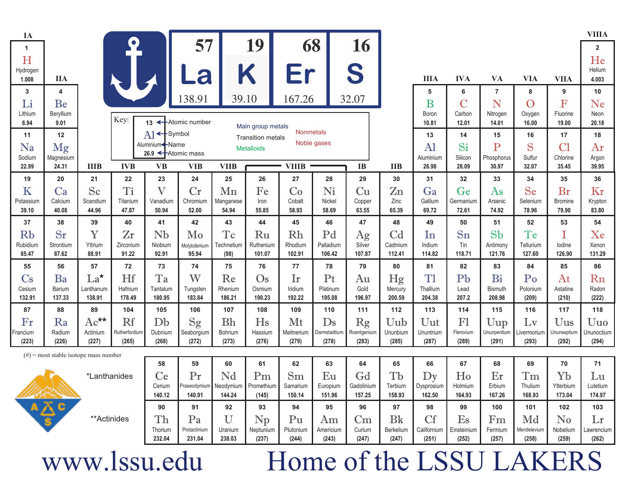| IA                |                                          |                   |                        |                                                                                                                                                                                                                                            |                                   |                    |                          |                     |                       |                            |                    |                      |                         |                         |                      |                         | <b>VIIIA</b>        |
|-------------------|------------------------------------------|-------------------|------------------------|--------------------------------------------------------------------------------------------------------------------------------------------------------------------------------------------------------------------------------------------|-----------------------------------|--------------------|--------------------------|---------------------|-----------------------|----------------------------|--------------------|----------------------|-------------------------|-------------------------|----------------------|-------------------------|---------------------|
| 1                 |                                          |                   | $\bullet$              |                                                                                                                                                                                                                                            | 57                                |                    | 19                       | 68                  |                       | 16                         |                    |                      |                         |                         |                      |                         | $\overline{2}$      |
| H                 |                                          |                   |                        |                                                                                                                                                                                                                                            |                                   |                    |                          |                     |                       |                            |                    |                      |                         |                         |                      |                         | He                  |
| Hydrogen<br>1.008 | <b>IIA</b>                               |                   |                        |                                                                                                                                                                                                                                            | a                                 |                    | K                        | Er                  |                       | S                          |                    | <b>IIIA</b>          | <b>IVA</b>              | <b>VA</b>               | <b>VIA</b>           | <b>VIIA</b>             | Helium<br>4.003     |
| 3                 | 4                                        |                   |                        |                                                                                                                                                                                                                                            |                                   |                    |                          |                     |                       |                            |                    | 5                    | 6                       | $\overline{7}$          | 8                    | 9                       | 10                  |
| Li                | Be                                       |                   |                        |                                                                                                                                                                                                                                            | 138.91                            | 39.10              |                          | 167.26              |                       | 32.07                      |                    | B                    | $\overline{\mathsf{C}}$ | N                       | $\overline{O}$       | $\overline{\mathrm{F}}$ | Ne                  |
| Lithium           | Beryllium                                |                   |                        |                                                                                                                                                                                                                                            |                                   |                    |                          |                     |                       |                            |                    | Boron                | Carbon                  | Nitrogen                | Oxygen               | Fluorine                | Neon                |
| 6.94              | 9.01                                     |                   | Key:                   |                                                                                                                                                                                                                                            | 13 K Atomic number                |                    | Main group metals        |                     |                       |                            |                    | 10.81                | 12.01                   | 14.01                   | 16.00                | 19.00                   | 20.18               |
| 11                | 12                                       |                   |                        | A1 <sup> </sup> Symbol                                                                                                                                                                                                                     |                                   |                    | <b>Transition metals</b> | <b>Nonmetals</b>    | Noble gases           |                            |                    | 13                   | 14                      | 15                      | 16                   | 17                      | 18                  |
| Na                | Mg                                       |                   |                        | Aluminium< -Name<br>26.9 <atomic mass<="" td=""><td></td><td></td><td><b>Metalloids</b></td><td></td><td></td><td></td><td></td><td>A1</td><td>Si</td><td><math>\overline{\mathrm{P}}</math></td><td>S</td><td>Cl</td><td>Ar</td></atomic> |                                   |                    | <b>Metalloids</b>        |                     |                       |                            |                    | A1                   | Si                      | $\overline{\mathrm{P}}$ | S                    | Cl                      | Ar                  |
| Sodium<br>22.99   | Magnesium<br>24.31                       | <b>IIIB</b>       | <b>IVB</b>             | <b>VB</b>                                                                                                                                                                                                                                  | <b>VIB</b>                        | <b>VIIB</b>        |                          | <b>VIIIB</b>        |                       | <b>IB</b>                  | <b>IIB</b>         | Aluminium<br>26.98   | Silicon<br>28.09        | Phosphorus<br>30.97     | Sulfur<br>32.07      | Chlorine<br>35.45       | Argon<br>39.95      |
| 19                | 20                                       | 21                | 22                     | 23                                                                                                                                                                                                                                         | 24                                | 25                 | 26                       | 27                  | 28                    | 29                         | 30                 | 31                   | 32                      | 33                      | 34                   | 35                      | 36                  |
| K                 | Ca                                       | Sc                | T <sub>i</sub>         | $\mathbf V$                                                                                                                                                                                                                                | Cr                                | Mn                 | Fe                       | Co                  | Ni                    | Cu                         | $\mathbb{Z}^n$     | Ga                   | Ge                      | As                      | Se                   | Br                      | Kr                  |
| Potassium         | Calcium                                  | Scandium          | Titanium               | Vanadium                                                                                                                                                                                                                                   | Chromium                          | Manganese          | Iron                     | Cobalt              | Nickel                | Copper                     | Zinc               | Gallium              | Germanium               | Arsenic                 | Selenium             | Bromine                 | Krypton             |
| 39.10             | 40.08                                    | 44.96             | 47.87                  | 50.94                                                                                                                                                                                                                                      | 52.00                             | 54.94              | 55.85                    | 58.93               | 58.69                 | 63.55                      | 65.39              | 69.72                | 72.61                   | 74.92                   | 78.96                | 79.90                   | 83.80               |
| 37                | 38                                       | 39                | 40                     | 41                                                                                                                                                                                                                                         | 42                                | 43                 | 44                       | 45                  | 46                    | 47                         | 48                 | 49                   | 50                      | 51                      | 52                   | 53                      | 54                  |
| Rb                | Sr                                       | Y                 | Zr                     | Nb                                                                                                                                                                                                                                         | Mo                                | Tc                 | Ru                       | Rh                  | Pd                    | Ag                         | Cd                 | In                   | S <sub>n</sub>          | Sb                      | Te                   | I                       | Xe                  |
| Rubidium<br>85.47 | Strontium<br>87.62                       | Yttrium<br>88.91  | Zirconium<br>91.22     | Niobium<br>92.91                                                                                                                                                                                                                           | Molybdenium<br>95.94              | Technetium<br>(98) | Ruthenium<br>101.07      | Rhodium<br>102.91   | Palladium<br>106.42   | Silver<br>107.87           | Cadmium<br>112.41  | Indium<br>114.82     | Tin<br>118.71           | Antimony<br>121.76      | Tellurium<br>127.60  | lodine<br>126.90        | Xenon<br>131.29     |
| 55                | 56                                       | 57                | 72                     | 73                                                                                                                                                                                                                                         | 74                                | 75                 | 76                       | 77                  | 78                    | 79                         | 80                 | 81                   | 82                      | 83                      | 84                   | 85                      | 86                  |
| $\mathbb{C}$ s    | Ba                                       | $La*$             | Hf                     | Ta                                                                                                                                                                                                                                         | W                                 | Re                 | $\mathrm{Os}$            | Ir                  | Pt                    | Au                         | Hg                 | T1                   | Pb                      | Bi                      | Po                   | At                      | Rn                  |
| Cesium            | Barium                                   | Lanthanum         | Hafnium                | Tantalum                                                                                                                                                                                                                                   | Tungsten                          | Rhenium            | Osmium                   | Iridium             | Platinum              | Gold                       | Mercury            | Thallium             | Lead                    | <b>Bismuth</b>          | Polonium             | Astatine                | Radon               |
| 132.91            | 137.33                                   | 138.91            | 178.49                 | 180.95                                                                                                                                                                                                                                     | 183.84                            | 186.21             | 190.23                   | 192.22              | 195.08                | 196.97                     | 200.59             | 204.38               | 207.2                   | 208.98                  | (209)                | (210)                   | (222)               |
| 87                | 88                                       | 89                | 104                    | 105                                                                                                                                                                                                                                        | 106                               | 107                | 108                      | 109                 | 110                   | 111                        | 112                | 113                  | 114                     | 115                     | 116                  | 117                     | 118                 |
| Fr                | Ra                                       | $Ac^{\star\star}$ | Rf                     | Db                                                                                                                                                                                                                                         | Sg                                | <b>Bh</b>          | Hs                       | Mt                  | Ds                    | $\mathop{\rm Rg}\nolimits$ | Uub                | Uut                  | F1                      | Uup                     | Lv                   | Uus                     | Uuo                 |
| Francium<br>(223) | Radium<br>(226)                          | Actinium<br>(227) | Rutherfordium<br>(265) | Dubnium<br>(268)                                                                                                                                                                                                                           | Seaborgium<br>(272)               | Bohrium<br>(273)   | Hassium<br>(276)         | Meitnerium<br>(279) | Darmstadtium<br>(278) | Roentgenium<br>(283)       | Ununbium<br>(285)  | Ununtrium<br>(287)   | Flerovium<br>(289)      | Ununpentium<br>(291)    | Livermorium<br>(293) | Ununseptium<br>(292)    | Ununoctium<br>(294) |
|                   |                                          |                   |                        |                                                                                                                                                                                                                                            |                                   |                    |                          |                     |                       |                            |                    |                      |                         |                         |                      |                         |                     |
|                   | $(\#)$ = most stable isotope mass number |                   |                        | 58                                                                                                                                                                                                                                         | 59                                | 60                 | 61                       | 62                  | 63                    | 64                         | 65                 | 66                   | 67                      | 68                      | 69                   | 70                      | 71                  |
|                   |                                          | *Lanthanides      |                        | Ce                                                                                                                                                                                                                                         | Pr                                | Nd                 | Pm                       | Sm                  | Eu                    | Gd                         | Tb                 | Dy                   | $H_0$                   | Er                      | Tm                   | Yb                      | Lu                  |
|                   |                                          |                   |                        | Cerium                                                                                                                                                                                                                                     | Praseodymium Neodymium Promethium |                    |                          | Samarium            | Europium              | Gadolinium                 | Terbium            | Dysprosium           | Holmium                 | Erbium                  | Thulium              | Ytterbium               | Lutetium            |
|                   |                                          |                   |                        | 140.12                                                                                                                                                                                                                                     | 140.91                            | 144.24             | (145)                    | 150.14              | 151.96                | 157.25                     | 158.93             | 162.50               | 164.93                  | 167.26                  | 168.93               | 173.04                  | 174.97              |
|                   | $A \sum_{n=1}^{\infty}$                  |                   |                        | 90                                                                                                                                                                                                                                         | 91                                | 92                 | 93                       | 94                  | 95                    | 96                         | 97                 | 98                   | 99                      | 100                     | 101                  | 102                     | 103                 |
|                   |                                          | **Actinides       |                        | Th                                                                                                                                                                                                                                         | Pa                                | U                  | Np                       | Pu                  | Am                    | $\mathrm{Cm}$              | Bk                 | Cf                   | Es                      | F <sub>m</sub>          | Md                   | N <sub>0</sub>          | Lr                  |
|                   |                                          |                   |                        | Thorium<br>232.04                                                                                                                                                                                                                          | Protactinium<br>231.04            | Uranium<br>238.03  | Neptunium<br>(237)       | Plutonium<br>(244)  | Americium<br>(243)    | Curium<br>(247)            | Berkelium<br>(247) | Californium<br>(251) | Einsteinium<br>(252)    | Fermium<br>(257)        | Mendelevium<br>(258) | Nobelium<br>(259)       | Lawrencium<br>(262) |
|                   |                                          |                   |                        |                                                                                                                                                                                                                                            |                                   |                    |                          |                     |                       |                            |                    |                      |                         |                         |                      |                         |                     |

## www.lssu.edu

## Home of the LSSU LAKERS